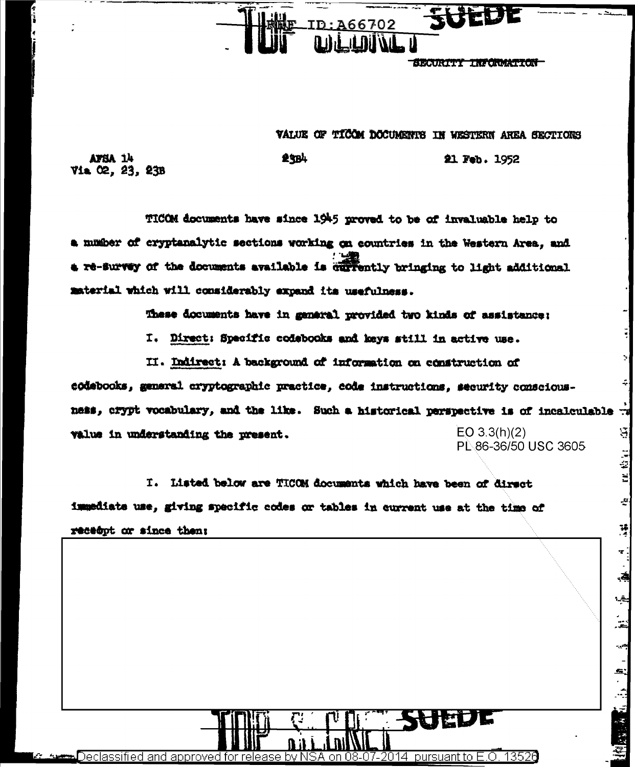

SECURITI INFORMATION

21 Feb. 1952

tut khat

 $\mathcal{L}$ 

¥

÷.

Ļ.

چه<br>م ֦֝֝<br>׆֛֝֝*ׇ* 

在图案 1. 1. 10 1

## VALUE OF TICOM DOCUMENTS IN WESTERN AREA SECTIONS

AFSA 14 Via 02, 23, 23B

TICOM documents have since 1945 proved to be of invaluable help to a mumber of cryptanalytic sections working on countries in the Western Area, and a re-survey of the documents available is currently bringing to light additional material which will considerably expand its usefulness.

25B4

These documents have in general provided two kinds of assistance:

I. Direct: Specific codebooks and keys still in active use.

II. Indirect: A background of information on construction of

codebooks, general cryptographic practice, code instructions, security consciousness, crypt vocabulary, and the like. Such a historical perspective is of incalculable : S,  $EO 3.3(h)(2)$ value in understanding the present. PL 86-36/50 USC 3605

I. Listed below are TICOM documents which have been of direct immediate use, giving specific codes or tables in current use at the time of receept or since then:

)eclassified and approved for release 13526 by NSA on 08-07-2014 pursuant to  $E$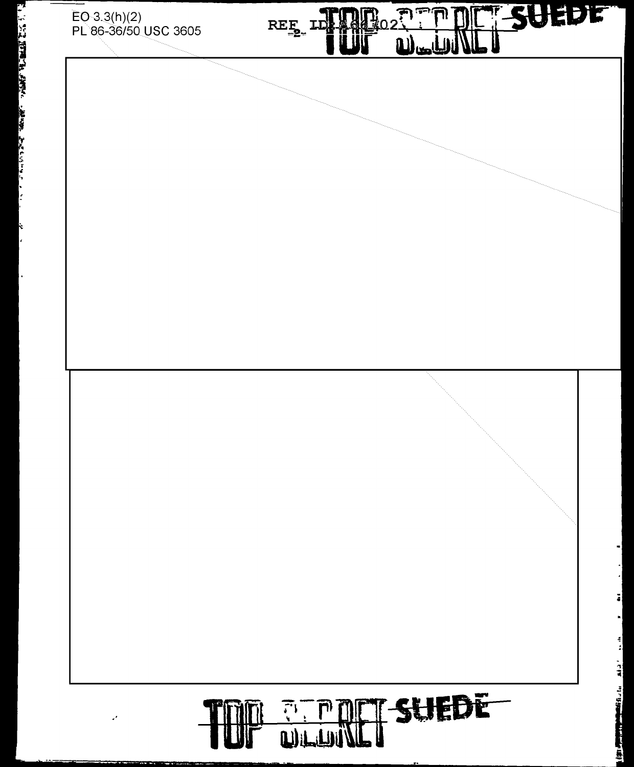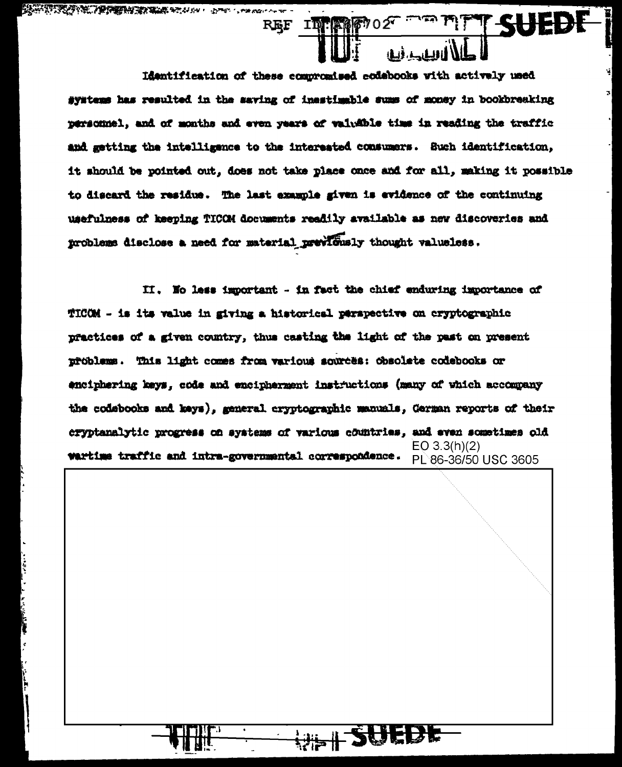Identification of these compromised codebooks with actively used systems has resulted in the saving of inestimable sums of money in bookbreaking personnel, and of months and even years of valuable time in reading the traffic and getting the intelligence to the interested consumers. Such identification, it should be pointed out, does not take place once and for all, making it possible to discard the residue. The last example given is evidence of the continuing usefulness of keeping TICOM documents readily available as new discoveries and problems disclose a need for material previously thought valueless.

REF INTERNETO2

II. No less important - in fact the chief enduring importance of TICOM - is its value in giving a historical perspective on cryptographic practices of a given country, thus casting the light of the past on present problems. This light comes from various sources: obsolete codebooks or enciphering keys, code and encipherment instructions (many of which accompany the codebooks and keys), general cryptographic manuals, German reports of their cryptanalytic progress on systems of various countries, and even sometimes old  $EO 3.3(h)(2)$ wartime traffic and intra-governmental correspondence. PL86-36/50 USC 3605

WE SUEDE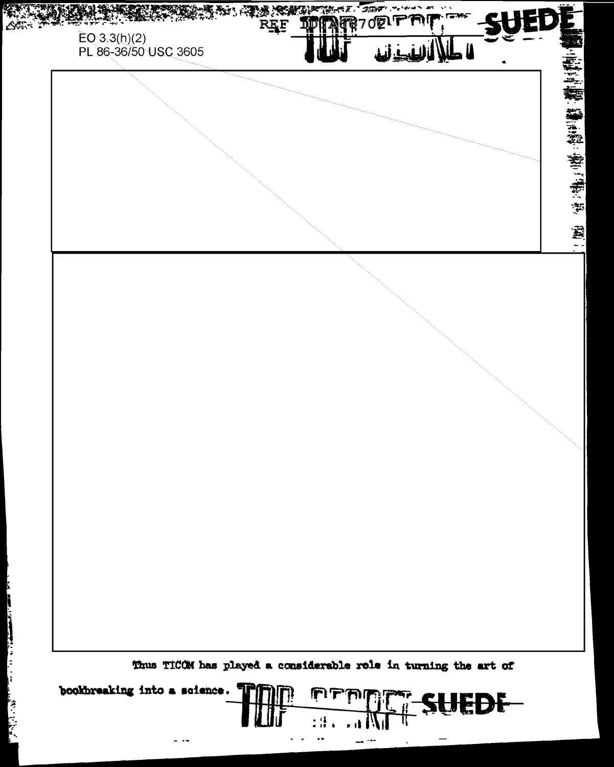

The contract of the second contract of the contract of the contract of the contract of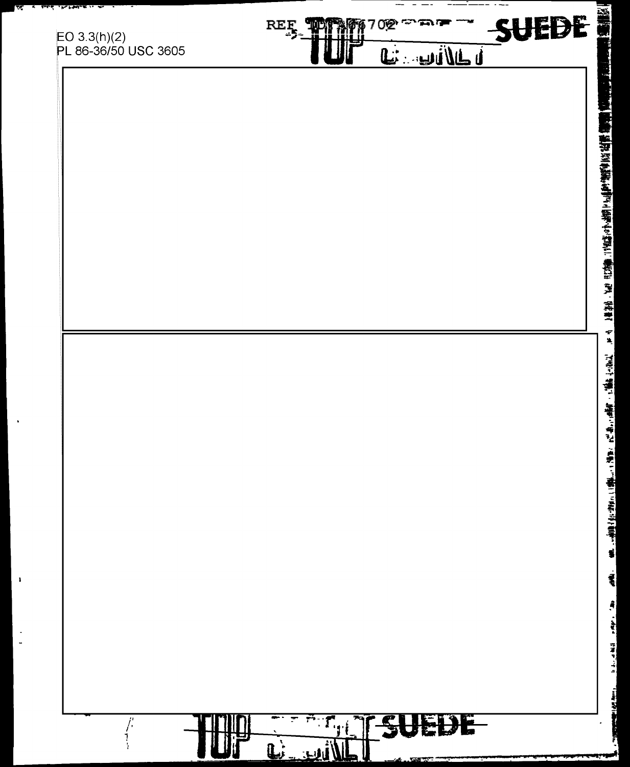